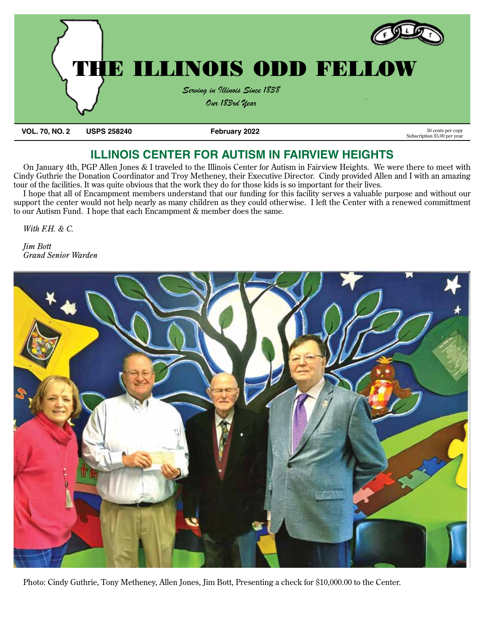

**VOL. 70, NO. 2 USPS 258240 February 2022 February 2022** 50 cents per copy

Subscription \$5.00 per year

# **ILLINOIS CENTER FOR AUTISM IN FAIRVIEW HEIGHTS**

On January 4th, PGP Allen Jones & I traveled to the Illinois Center for Autism in Fairview Heights. We were there to meet with Cindy Guthrie the Donation Coordinator and Troy Metheney, their Executive Director. Cindy provided Allen and I with an amazing tour of the facilities. It was quite obvious that the work they do for those kids is so important for their lives.

I hope that all of Encampment members understand that our funding for this facility serves a valuable purpose and without our support the center would not help nearly as many children as they could otherwise. I left the Center with a renewed committment to our Autism Fund. I hope that each Encampment & member does the same.

*With F.H. & C.* 

*Jim Bott Grand Senior Warden*



Photo: Cindy Guthrie, Tony Metheney, Allen Jones, Jim Bott, Presenting a check for \$10,000.00 to the Center.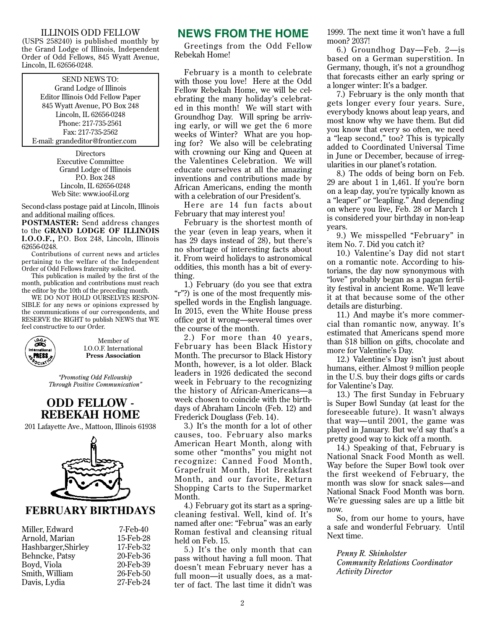#### ILLINOIS ODD FELLOW

(USPS 258240) is published monthly by the Grand Lodge of Illinois, Independent Order of Odd Fellows, 845 Wyatt Avenue, Lincoln, IL 62656-0248.

#### SEND NEWS TO:

Grand Lodge of Illinois Editor Illinois Odd Fellow Paper 845 Wyatt Avenue, PO Box 248 Lincoln, IL 62656-0248 Phone: 217-735-2561 Fax: 217-735-2562 E-mail: grandeditor@frontier.com

> **Directors** Executive Committee Grand Lodge of Illinois P.O. Box 248 Lincoln, IL 62656-0248 Web Site: www.ioof-il.org

Second-class postage paid at Lincoln, Illinois and additional mailing offices.

**POSTMASTER:** Send address changes to the **GRAND LODGE OF ILLINOIS I.O.O.F.,** P.O. Box 248, Lincoln, Illinois 62656-0248.

Contributions of current news and articles pertaining to the welfare of the Independent Order of Odd Fellows fraternity solicited.

This publication is mailed by the first of the month, publication and contributions must reach the editor by the 10th of the preceding month.

WE DO NOT HOLD OURSELVES RESPON-SIBLE for any news or opinions expressed by the communications of our correspondents, and RESERVE the RIGHT to publish NEWS that WE feel constructive to our Order.



Member of I.O.O.F. International **Press Association**

*"Promoting Odd Fellowship Through Positive Communication"*

#### **ODD FELLOW - REBEKAH HOME**

201 Lafayette Ave., Mattoon, Illinois 61938



#### **FEBRUARY BIRTHDAYS**

| Miller, Edward      | 7-Feb-40  |
|---------------------|-----------|
| Arnold, Marian      | 15-Feb-28 |
| Hashbarger, Shirley | 17-Feb-32 |
| Behncke, Patsy      | 20-Feb-36 |
| Boyd, Viola         | 20-Feb-39 |
| Smith, William      | 26-Feb-50 |
| Davis, Lydia        | 27-Feb-24 |

| 7-Feb-40  |
|-----------|
| 15-Feb-28 |
| 17-Feb-32 |
| 20-Feb-36 |
| 20-Feb-39 |
| 26-Feb-50 |
| 27-Feb-24 |

#### **NEWS FROM THE HOME**

Greetings from the Odd Fellow Rebekah Home!

February is a month to celebrate with those you love! Here at the Odd Fellow Rebekah Home, we will be celebrating the many holiday's celebrated in this month! We will start with Groundhog Day. Will spring be arriving early, or will we get the 6 more weeks of Winter? What are you hoping for? We also will be celebrating with crowning our King and Queen at the Valentines Celebration. We will educate ourselves at all the amazing inventions and contributions made by African Americans, ending the month with a celebration of our President's.

Here are 14 fun facts about February that may interest you!

February is the shortest month of the year (even in leap years, when it has 29 days instead of 28), but there's no shortage of interesting facts about it. From weird holidays to astronomical oddities, this month has a bit of everything.

1.) February (do you see that extra "r"?) is one of the most frequently misspelled words in the English language. In 2015, even the White House press office got it wrong—several times over the course of the month.

2.) For more than 40 years, February has been Black History Month. The precursor to Black History Month, however, is a lot older. Black leaders in 1926 dedicated the second week in February to the recognizing the history of African-Americans—a week chosen to coincide with the birthdays of Abraham Lincoln (Feb. 12) and Frederick Douglass (Feb. 14).

3.) It's the month for a lot of other causes, too. February also marks American Heart Month, along with some other "months" you might not recognize: Canned Food Month, Grapefr uit Month, Hot Breakfast Month, and our favorite, Return Shopping Carts to the Supermarket Month.

4.) February got its start as a springcleaning festival. Well, kind of. It's named after one: "Februa" was an early Roman festival and cleansing ritual held on Feb. 15.

5.) It's the only month that can pass without having a full moon. That doesn't mean February never has a full moon—it usually does, as a matter of fact. The last time it didn't was

1999. The next time it won't have a full moon? 2037!

6.) Groundhog Day—Feb. 2—is based on a German superstition. In Germany, though, it's not a groundhog that forecasts either an early spring or a longer winter: It's a badger.

7.) February is the only month that gets longer every four years. Sure, everybody knows about leap years, and most know why we have them. But did you know that every so often, we need a "leap second," too? This is typically added to Coordinated Universal Time in June or December, because of irregularities in our planet's rotation.

8.) The odds of being born on Feb. 29 are about 1 in 1,461. If you're born on a leap day, you're typically known as a "leaper" or "leapling." And depending on where you live, Feb. 28 or March 1 is considered your birthday in non-leap years.

9.) We misspelled "February" in item No. 7. Did you catch it?

10.) Valentine's Day did not start on a romantic note. According to historians, the day now synonymous with "love" probably began as a pagan fertility festival in ancient Rome. We'll leave it at that because some of the other details are disturbing.

11.) And maybe it's more commercial than romantic now, anyway. It's estimated that Americans spend more than \$18 billion on gifts, chocolate and more for Valentine's Day.

12.) Valentine's Day isn't just about humans, either. Almost 9 million people in the U.S. buy their dogs gifts or cards for Valentine's Day.

13.) The first Sunday in February is Super Bowl Sunday (at least for the foreseeable future). It wasn't always that way—until 2001, the game was played in January. But we'd say that's a pretty good way to kick off a month.

14.) Speaking of that, February is National Snack Food Month as well. Way before the Super Bowl took over the first weekend of Februar y, the month was slow for snack sales—and National Snack Food Month was born. We're guessing sales are up a little bit now.

So, from our home to yours, have a safe and wonderful February. Until Next time.

*Penny R. Shinholster Community Relations Coordinator Activity Director*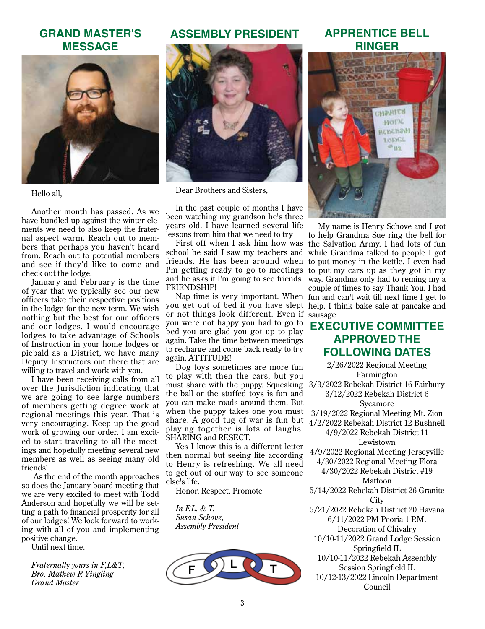#### **GRAND MASTER'S MESSAGE**



Hello all,

Another month has passed. As we have bundled up against the winter elements we need to also keep the fraternal aspect warm. Reach out to members that perhaps you haven't heard from. Reach out to potential members and see if they'd like to come and check out the lodge.

January and February is the time of year that we typically see our new officers take their respective positions in the lodge for the new term. We wish nothing but the best for our officers and our lodges. I would encourage lodges to take advantage of Schools of Instruction in your home lodges or piebald as a District, we have many Deputy Instructors out there that are willing to travel and work with you.

I have been receiving calls from all over the Jurisdiction indicating that we are going to see large numbers of members getting degree work at regional meetings this year. That is very encouraging. Keep up the good work of growing our order. I am excited to start traveling to all the meetings and hopefully meeting several new members as well as seeing many old friends!

 As the end of the month approaches so does the January board meeting that we are very excited to meet with Todd Anderson and hopefully we will be setting a path to financial prosperity for all of our lodges! We look forward to working with all of you and implementing positive change.

Until next time.

*Fraternally yours in F,L&T, Bro. Mathew R Yingling Grand Master*

#### **ASSEMBLY PRESIDENT**



Dear Brothers and Sisters,

In the past couple of months I have been watching my grandson he's three years old. I have learned several life lessons from him that we need to try

school he said I saw my teachers and while Grandma talked to people I got friends. He has been around when to put money in the kettle. I even had I'm getting ready to go to meetings to put my cars up as they got in my and he asks if I'm going to see friends. way. Grandma only had to reming my a FRIENDSHIP!

you get out of bed if you have slept help. I think bake sale at pancake and or not things look different. Even if sausage. you were not happy you had to go to bed you are glad you got up to play again. Take the time between meetings to recharge and come back ready to try again. ATTITUDE!

Dog toys sometimes are more fun to play with then the cars, but you must share with the puppy. Squeaking the ball or the stuffed toys is fun and you can make roads around them. But when the puppy takes one you must share. A good tug of war is fun but playing together is lots of laughs. SHARING and RESECT.

Yes I know this is a different letter then normal but seeing life according to Henry is refreshing. We all need to get out of our way to see someone else's life.

Honor, Respect, Promote

*In F.L. & T. Susan Schove, Assembly President*



#### **APPRENTICE BELL RINGER**



First off when I ask him how was the Salvation Army. I had lots of fun Nap time is very important. When fun and can't wait till next time I get to My name is Henry Schove and I got to help Grandma Sue ring the bell for couple of times to say Thank You. I had

#### **Executive Committee Approved the following Dates**

2/26/2022 Regional Meeting Farmington 3/3/2022 Rebekah District 16 Fairbury 3/12/2022 Rebekah District 6 Sycamore 3/19/2022 Regional Meeting Mt. Zion 4/2/2022 Rebekah District 12 Bushnell 4/9/2022 Rebekah District 11 Lewistown 4/9/2022 Regional Meeting Jerseyville 4/30/2022 Regional Meeting Flora 4/30/2022 Rebekah District #19 Mattoon 5/14/2022 Rebekah District 26 Granite **City** 5/21/2022 Rebekah District 20 Havana 6/11/2022 PM Peoria 1 P.M. Decoration of Chivalry 10/10-11/2022 Grand Lodge Session Springfield IL 10/10-11/2022 Rebekah Assembly Session Springfield IL 10/12-13/2022 Lincoln Department Council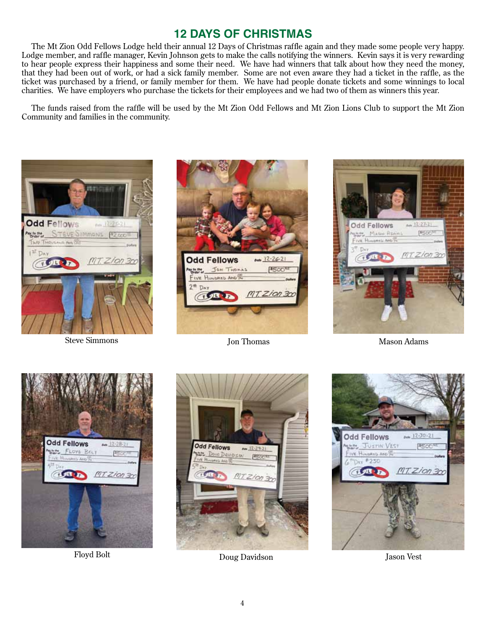# **12 Days of Christmas**

The Mt Zion Odd Fellows Lodge held their annual 12 Days of Christmas raffle again and they made some people very happy. Lodge member, and raffle manager, Kevin Johnson gets to make the calls notifying the winners. Kevin says it is very rewarding to hear people express their happiness and some their need. We have had winners that talk about how they need the money, that they had been out of work, or had a sick family member. Some are not even aware they had a ticket in the raffle, as the ticket was purchased by a friend, or family member for them. We have had people donate tickets and some winnings to local charities. We have employers who purchase the tickets for their employees and we had two of them as winners this year.

The funds raised from the raffle will be used by the Mt Zion Odd Fellows and Mt Zion Lions Club to support the Mt Zion Community and families in the community.



Steve Simmons





Jon Thomas Mason Adams





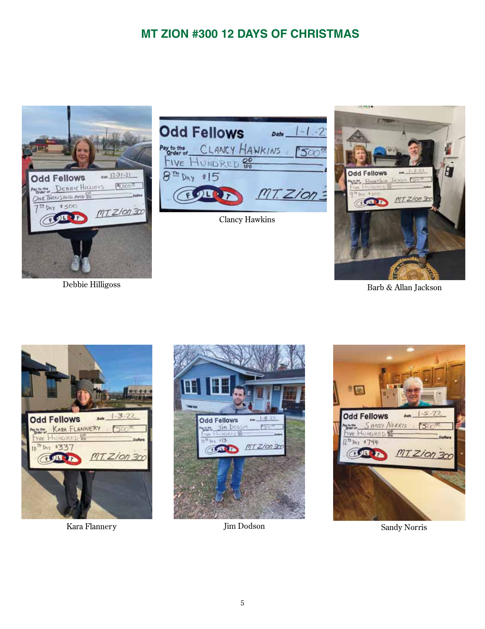# **MT ZION #300 12 Days of Christmas**



Debbie Hilligoss



Clancy Hawkins



Barb & Allan Jackson



Kara Flannery Sandy Norris (Sandy Norris 1986) Sandy Norris (Sandy Norris 1986)



Jim Dodson

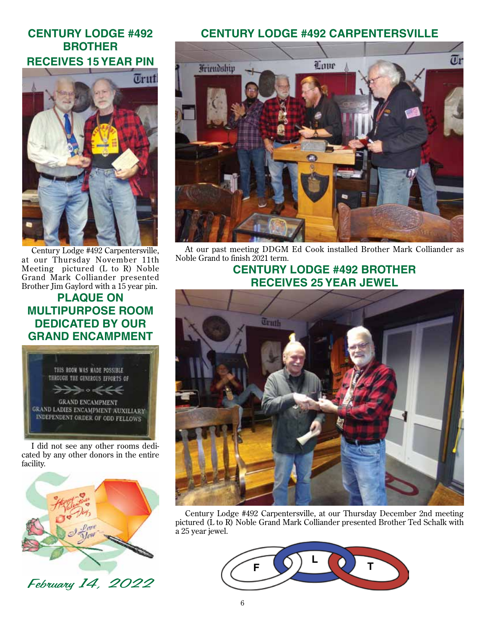# **CENTURY LODGE #492 BROTHER RECEIVES 15 YEAR PIN**



Century Lodge #492 Carpentersville, at our Thursday November 11th Meeting pictured (L to R) Noble Grand Mark Colliander presented Brother Jim Gaylord with a 15 year pin.

### **PLAQUE ON MULTIPURPOSE ROOM DEDICATED BY OUR GRAND ENCAMPMENT**



I did not see any other rooms dedicated by any other donors in the entire facility.



February 14, 2022

#### **Century Lodge #492 Carpentersville**



At our past meeting DDGM Ed Cook installed Brother Mark Colliander as Noble Grand to finish 2021 term.

# **CENTURY LODGE #492 BROTHER RECEIVES 25 YEAR JEWEL**



Century Lodge #492 Carpentersville, at our Thursday December 2nd meeting pictured (L to R) Noble Grand Mark Colliander presented Brother Ted Schalk with a 25 year jewel.

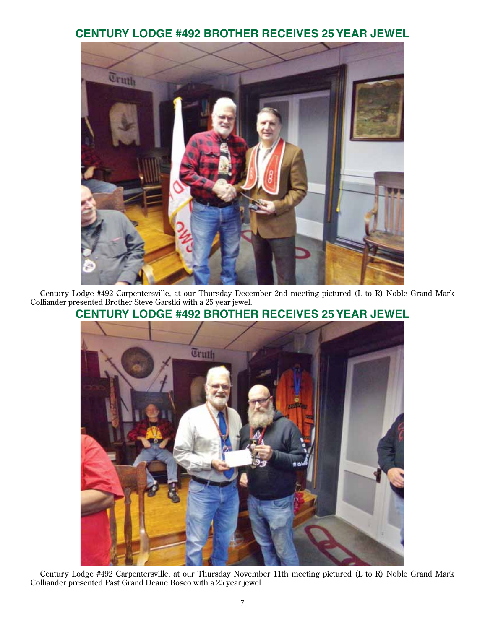### **CENTURY LODGE #492 BROTHER RECEIVES 25 YeaR JEWEL**



Century Lodge #492 Carpentersville, at our Thursday December 2nd meeting pictured (L to R) Noble Grand Mark Colliander presented Brother Steve Garstki with a 25 year jewel.

# **CENTURY LODGE #492 BROTHER RECEIVES 25 YeaR JEWEL**



Century Lodge #492 Carpentersville, at our Thursday November 11th meeting pictured (L to R) Noble Grand Mark Colliander presented Past Grand Deane Bosco with a 25 year jewel.